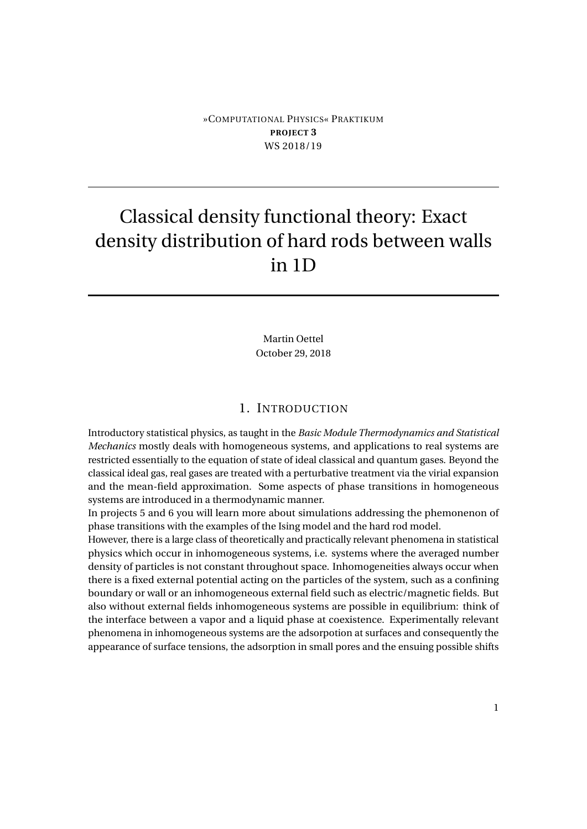## »COMPUTATIONAL PHYSICS« PRAKTIKUM **PROJECT 3** WS 2018/19

# Classical density functional theory: Exact density distribution of hard rods between walls in 1D

Martin Oettel October 29, 2018

# 1. INTRODUCTION

Introductory statistical physics, as taught in the *Basic Module Thermodynamics and Statistical Mechanics* mostly deals with homogeneous systems, and applications to real systems are restricted essentially to the equation of state of ideal classical and quantum gases. Beyond the classical ideal gas, real gases are treated with a perturbative treatment via the virial expansion and the mean-field approximation. Some aspects of phase transitions in homogeneous systems are introduced in a thermodynamic manner.

In projects 5 and 6 you will learn more about simulations addressing the phemonenon of phase transitions with the examples of the Ising model and the hard rod model.

However, there is a large class of theoretically and practically relevant phenomena in statistical physics which occur in inhomogeneous systems, i.e. systems where the averaged number density of particles is not constant throughout space. Inhomogeneities always occur when there is a fixed external potential acting on the particles of the system, such as a confining boundary or wall or an inhomogeneous external field such as electric/magnetic fields. But also without external fields inhomogeneous systems are possible in equilibrium: think of the interface between a vapor and a liquid phase at coexistence. Experimentally relevant phenomena in inhomogeneous systems are the adsorpotion at surfaces and consequently the appearance of surface tensions, the adsorption in small pores and the ensuing possible shifts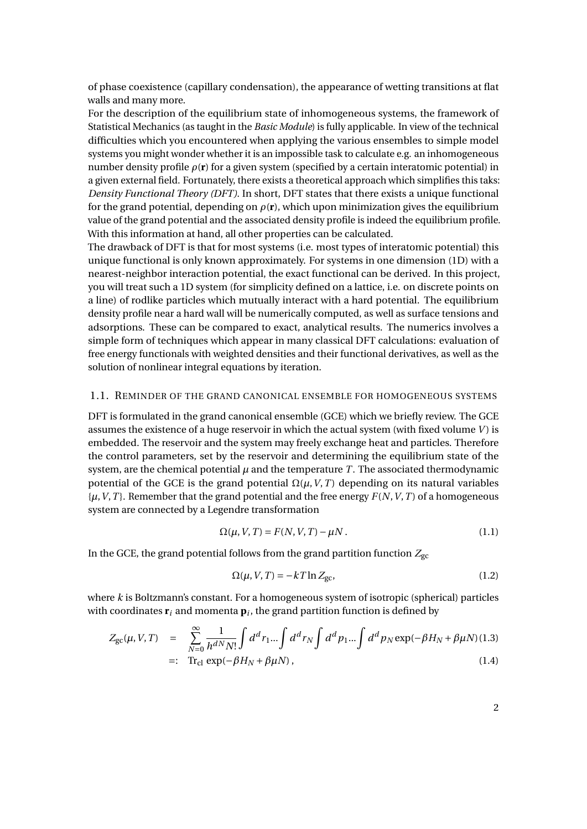of phase coexistence (capillary condensation), the appearance of wetting transitions at flat walls and many more.

For the description of the equilibrium state of inhomogeneous systems, the framework of Statistical Mechanics (as taught in the *Basic Module*) is fully applicable. In view of the technical difficulties which you encountered when applying the various ensembles to simple model systems you might wonder whether it is an impossible task to calculate e.g. an inhomogeneous number density profile  $\rho(\mathbf{r})$  for a given system (specified by a certain interatomic potential) in a given external field. Fortunately, there exists a theoretical approach which simplifies this taks: *Density Functional Theory (DFT)*. In short, DFT states that there exists a unique functional for the grand potential, depending on  $\rho(\mathbf{r})$ , which upon minimization gives the equilibrium value of the grand potential and the associated density profile is indeed the equilibrium profile. With this information at hand, all other properties can be calculated.

The drawback of DFT is that for most systems (i.e. most types of interatomic potential) this unique functional is only known approximately. For systems in one dimension (1D) with a nearest-neighbor interaction potential, the exact functional can be derived. In this project, you will treat such a 1D system (for simplicity defined on a lattice, i.e. on discrete points on a line) of rodlike particles which mutually interact with a hard potential. The equilibrium density profile near a hard wall will be numerically computed, as well as surface tensions and adsorptions. These can be compared to exact, analytical results. The numerics involves a simple form of techniques which appear in many classical DFT calculations: evaluation of free energy functionals with weighted densities and their functional derivatives, as well as the solution of nonlinear integral equations by iteration.

#### 1.1. REMINDER OF THE GRAND CANONICAL ENSEMBLE FOR HOMOGENEOUS SYSTEMS

DFT is formulated in the grand canonical ensemble (GCE) which we briefly review. The GCE assumes the existence of a huge reservoir in which the actual system (with fixed volume *V* ) is embedded. The reservoir and the system may freely exchange heat and particles. Therefore the control parameters, set by the reservoir and determining the equilibrium state of the system, are the chemical potential  $\mu$  and the temperature  $T$ . The associated thermodynamic potential of the GCE is the grand potential  $\Omega(\mu, V, T)$  depending on its natural variables  $\{\mu, V, T\}$ . Remember that the grand potential and the free energy  $F(N, V, T)$  of a homogeneous system are connected by a Legendre transformation

$$
\Omega(\mu, V, T) = F(N, V, T) - \mu N. \qquad (1.1)
$$

In the GCE, the grand potential follows from the grand partition function  $Z_{\text{gc}}$ 

$$
\Omega(\mu, V, T) = -kT \ln Z_{\text{gc}},\tag{1.2}
$$

where *k* is Boltzmann's constant. For a homogeneous system of isotropic (spherical) particles with coordinates  $\mathbf{r}_i$  and momenta  $\mathbf{p}_i$ , the grand partition function is defined by

$$
Z_{\rm gc}(\mu, V, T) = \sum_{N=0}^{\infty} \frac{1}{h^{dN} N!} \int d^d r_1 ... \int d^d r_N \int d^d p_1 ... \int d^d p_N \exp(-\beta H_N + \beta \mu N) (1.3)
$$
  
=: Tr<sub>cl</sub> exp(-\beta H<sub>N</sub> + \beta \mu N), (1.4)

2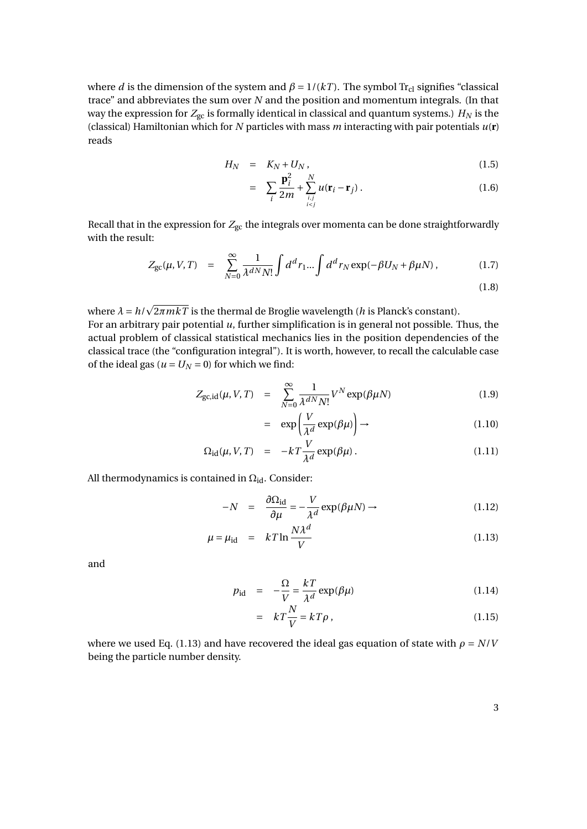where *d* is the dimension of the system and  $\beta = 1/(kT)$ . The symbol Tr<sub>cl</sub> signifies "classical trace" and abbreviates the sum over *N* and the position and momentum integrals. (In that way the expression for  $Z_{gc}$  is formally identical in classical and quantum systems.)  $H_N$  is the (classical) Hamiltonian which for *N* particles with mass *m* interacting with pair potentials *u*(**r**) reads

$$
H_N = K_N + U_N, \qquad (1.5)
$$

$$
= \sum_{i} \frac{\mathbf{p}_i^2}{2m} + \sum_{\substack{i,j\\i (1.6)
$$

Recall that in the expression for  $Z_{\rm gc}$  the integrals over momenta can be done straightforwardly with the result:

$$
Z_{\rm gc}(\mu, V, T) = \sum_{N=0}^{\infty} \frac{1}{\lambda^{dN} N!} \int d^d r_1 ... \int d^d r_N \exp(-\beta U_N + \beta \mu N), \qquad (1.7)
$$

$$
(1.8)
$$

where  $\lambda = h/$ 2*πmkT* is the thermal de Broglie wavelength (*h* is Planck's constant).

For an arbitrary pair potential *u*, further simplification is in general not possible. Thus, the actual problem of classical statistical mechanics lies in the position dependencies of the classical trace (the "configuration integral"). It is worth, however, to recall the calculable case of the ideal gas ( $u = U_N = 0$ ) for which we find:

$$
Z_{\text{gc},\text{id}}(\mu, V, T) = \sum_{N=0}^{\infty} \frac{1}{\lambda^{dN} N!} V^N \exp(\beta \mu N) \tag{1.9}
$$

$$
= \exp\left(\frac{V}{\lambda^d} \exp(\beta \mu)\right) \to \tag{1.10}
$$

$$
\Omega_{\rm id}(\mu, V, T) = -kT \frac{V}{\lambda^d} \exp(\beta \mu) \,. \tag{1.11}
$$

All thermodynamics is contained in  $\Omega_{\rm id}$ . Consider:

$$
-N = \frac{\partial \Omega_{\text{id}}}{\partial \mu} = -\frac{V}{\lambda^d} \exp(\beta \mu N) \to \tag{1.12}
$$

$$
\mu = \mu_{\rm id} = kT \ln \frac{N\lambda^d}{V} \tag{1.13}
$$

and

$$
p_{\rm id} = -\frac{\Omega}{V} = \frac{kT}{\lambda^d} \exp(\beta \mu) \tag{1.14}
$$

$$
= kT\frac{N}{V} = kT\rho , \qquad (1.15)
$$

where we used Eq. (1.13) and have recovered the ideal gas equation of state with  $\rho = N/V$ being the particle number density.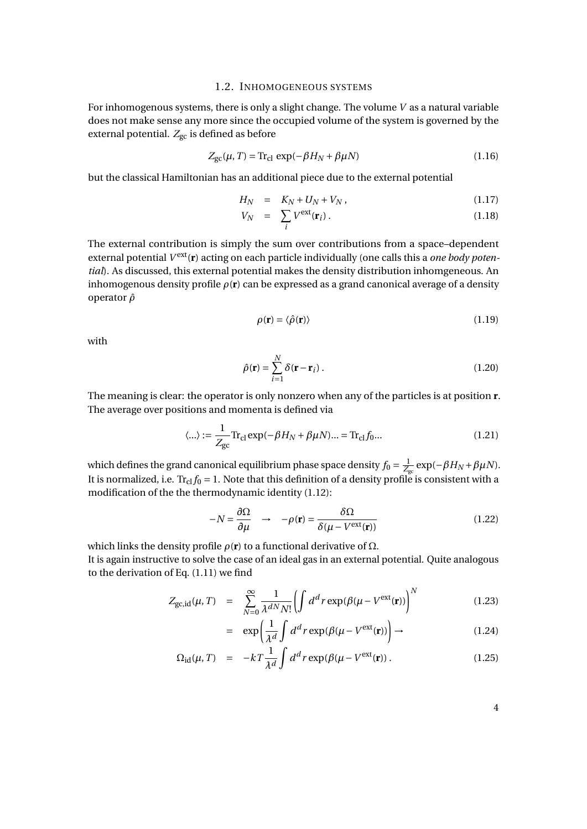#### 1.2. INHOMOGENEOUS SYSTEMS

For inhomogenous systems, there is only a slight change. The volume *V* as a natural variable does not make sense any more since the occupied volume of the system is governed by the external potential.  $Z_{gc}$  is defined as before

$$
Z_{\rm gc}(\mu, T) = \text{Tr}_{\rm cl} \exp(-\beta H_N + \beta \mu N) \tag{1.16}
$$

but the classical Hamiltonian has an additional piece due to the external potential

$$
H_N = K_N + U_N + V_N, \qquad (1.17)
$$

$$
V_N = \sum_i V^{\text{ext}}(\mathbf{r}_i). \tag{1.18}
$$

The external contribution is simply the sum over contributions from a space–dependent external potential  $V^{\text{ext}}(\mathbf{r})$  acting on each particle individually (one calls this a *one body potential*). As discussed, this external potential makes the density distribution inhomgeneous. An inhomogenous density profile *ρ*(**r**) can be expressed as a grand canonical average of a density operator *ρ*ˆ

$$
\rho(\mathbf{r}) = \langle \hat{\rho}(\mathbf{r}) \rangle \tag{1.19}
$$

with

$$
\hat{\rho}(\mathbf{r}) = \sum_{i=1}^{N} \delta(\mathbf{r} - \mathbf{r}_i) .
$$
\n(1.20)

The meaning is clear: the operator is only nonzero when any of the particles is at position **r**. The average over positions and momenta is defined via

$$
\langle \ldots \rangle := \frac{1}{Z_{\rm gc}} \text{Tr}_{\rm cl} \exp(-\beta H_N + \beta \mu N) \ldots = \text{Tr}_{\rm cl} f_0 \ldots \tag{1.21}
$$

which defines the grand canonical equilibrium phase space density  $f_0 = \frac{1}{Z}$  $\frac{1}{Z_{\rm gc}}$  exp(−*βH<sub>N</sub>* + *β* $\mu$ *N*). It is normalized, i.e.  $Tr_{cl} f_0 = 1$ . Note that this definition of a density profile is consistent with a modification of the the thermodynamic identity (1.12):

$$
-N = \frac{\partial \Omega}{\partial \mu} \quad \rightarrow \quad -\rho(\mathbf{r}) = \frac{\delta \Omega}{\delta(\mu - V^{\text{ext}}(\mathbf{r}))}
$$
(1.22)

which links the density profile  $\rho(\mathbf{r})$  to a functional derivative of  $\Omega$ .

It is again instructive to solve the case of an ideal gas in an external potential. Quite analogous to the derivation of Eq. (1.11) we find

$$
Z_{\rm gc, id}(\mu, T) = \sum_{N=0}^{\infty} \frac{1}{\lambda^{dN} N!} \left( \int d^d r \exp(\beta(\mu - V^{\rm ext}(\mathbf{r})) \right)^N \tag{1.23}
$$

$$
= \exp\left(\frac{1}{\lambda^d} \int d^d r \exp(\beta(\mu - V^{\text{ext}}(\mathbf{r}))\right) \to \tag{1.24}
$$

$$
\Omega_{\rm id}(\mu, T) = -kT \frac{1}{\lambda^d} \int d^d r \exp(\beta(\mu - V^{\rm ext}(\mathbf{r})). \tag{1.25}
$$

4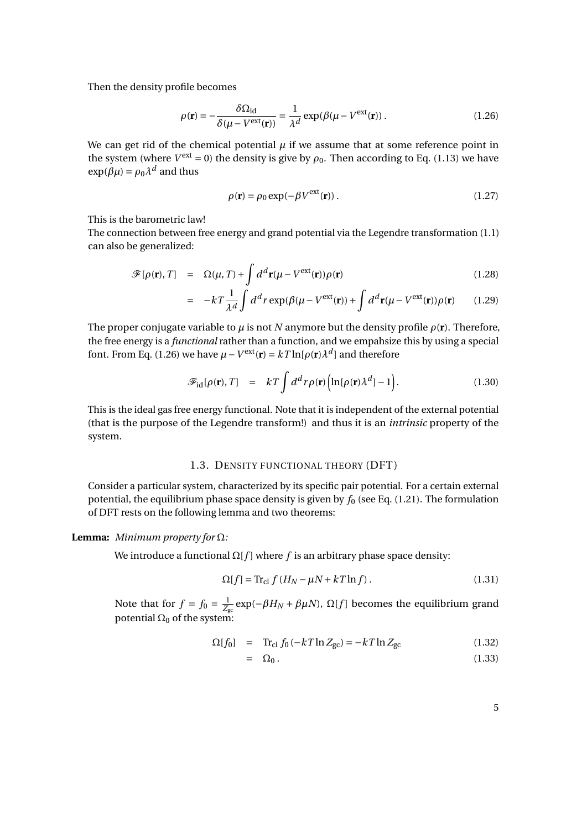Then the density profile becomes

$$
\rho(\mathbf{r}) = -\frac{\delta \Omega_{\text{id}}}{\delta(\mu - V^{\text{ext}}(\mathbf{r}))} = \frac{1}{\lambda^d} \exp(\beta(\mu - V^{\text{ext}}(\mathbf{r}))\,. \tag{1.26}
$$

We can get rid of the chemical potential  $\mu$  if we assume that at some reference point in the system (where  $V^{\text{ext}} = 0$ ) the density is give by  $\rho_0$ . Then according to Eq. (1.13) we have  $\exp(\beta \mu) = \rho_0 \lambda^d$  and thus

$$
\rho(\mathbf{r}) = \rho_0 \exp(-\beta V^{\text{ext}}(\mathbf{r})). \tag{1.27}
$$

This is the barometric law!

The connection between free energy and grand potential via the Legendre transformation (1.1) can also be generalized:

$$
\mathscr{F}[\rho(\mathbf{r}),T] = \Omega(\mu, T) + \int d^d \mathbf{r}(\mu - V^{\text{ext}}(\mathbf{r})) \rho(\mathbf{r})
$$
\n(1.28)

$$
= -kT \frac{1}{\lambda^d} \int d^d r \exp(\beta(\mu - V^{\text{ext}}(\mathbf{r})) + \int d^d \mathbf{r} (\mu - V^{\text{ext}}(\mathbf{r})) \rho(\mathbf{r}) \qquad (1.29)
$$

The proper conjugate variable to  $\mu$  is not *N* anymore but the density profile  $\rho(\mathbf{r})$ . Therefore, the free energy is a *functional* rather than a function, and we empahsize this by using a special font. From Eq. (1.26) we have  $\mu - V^{\text{ext}}(\mathbf{r}) = kT \ln[\rho(\mathbf{r}) \lambda^d]$  and therefore

$$
\mathscr{F}_{\mathrm{id}}[\rho(\mathbf{r}),T] = kT \int d^d r \rho(\mathbf{r}) \Big( \ln[\rho(\mathbf{r}) \lambda^d] - 1 \Big). \tag{1.30}
$$

This is the ideal gas free energy functional. Note that it is independent of the external potential (that is the purpose of the Legendre transform!) and thus it is an *intrinsic* property of the system.

#### 1.3. DENSITY FUNCTIONAL THEORY (DFT)

Consider a particular system, characterized by its specific pair potential. For a certain external potential, the equilibrium phase space density is given by  $f_0$  (see Eq. (1.21). The formulation of DFT rests on the following lemma and two theorems:

## **Lemma:** *Minimum property for* Ω*:*

We introduce a functional  $\Omega[f]$  where *f* is an arbitrary phase space density:

$$
\Omega[f] = \text{Tr}_{\text{cl}} f (H_N - \mu N + kT \ln f). \tag{1.31}
$$

Note that for  $f = f_0 = \frac{1}{z_0}$  $\frac{1}{Z_{gc}}$  exp(−*βH<sub>N</sub>* + *βμN*), Ω[*f*] becomes the equilibrium grand potential  $\Omega_0$  of the system:

$$
\Omega[f_0] = \text{Tr}_{\text{cl}} f_0 \left( -k \, T \ln Z_{\text{gc}} \right) = -k \, T \ln Z_{\text{gc}} \tag{1.32}
$$

$$
= \Omega_0. \tag{1.33}
$$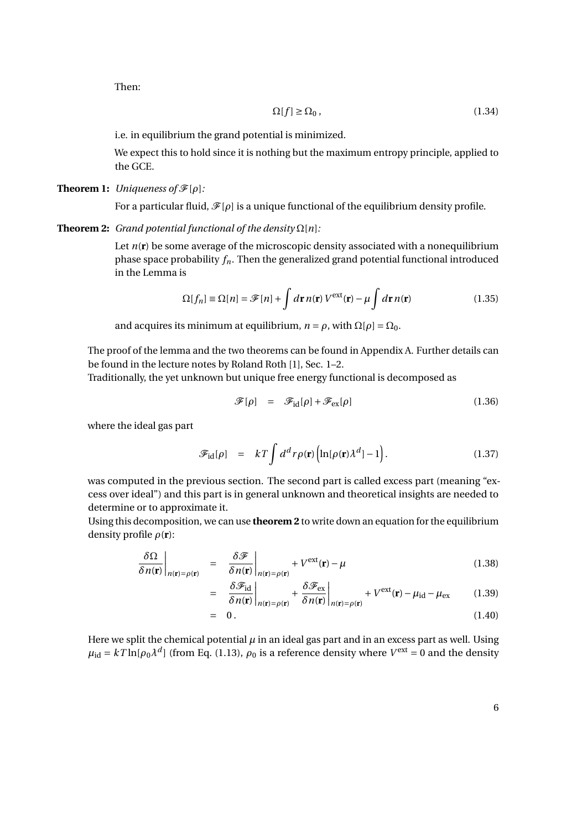Then:

$$
\Omega[f] \ge \Omega_0 \,,\tag{1.34}
$$

i.e. in equilibrium the grand potential is minimized.

We expect this to hold since it is nothing but the maximum entropy principle, applied to the GCE.

## **Theorem 1:** *Uniqueness of*  $\mathcal{F}[\rho]$ *:*

For a particular fluid,  $\mathcal{F}[\rho]$  is a unique functional of the equilibrium density profile.

#### **Theorem 2:** *Grand potential functional of the density*  $\Omega[n]$ :

Let  $n(r)$  be some average of the microscopic density associated with a nonequilibrium phase space probability *fn*. Then the generalized grand potential functional introduced in the Lemma is

$$
\Omega[f_n] \equiv \Omega[n] = \mathcal{F}[n] + \int d\mathbf{r} \, n(\mathbf{r}) \, V^{\text{ext}}(\mathbf{r}) - \mu \int d\mathbf{r} \, n(\mathbf{r}) \tag{1.35}
$$

and acquires its minimum at equilibrium,  $n = \rho$ , with  $\Omega[\rho] = \Omega_0$ .

The proof of the lemma and the two theorems can be found in Appendix A. Further details can be found in the lecture notes by Roland Roth [1], Sec. 1–2.

Traditionally, the yet unknown but unique free energy functional is decomposed as

$$
\mathcal{F}[\rho] = \mathcal{F}_{\text{id}}[\rho] + \mathcal{F}_{\text{ex}}[\rho] \tag{1.36}
$$

where the ideal gas part

$$
\mathscr{F}_{\text{id}}[\rho] = kT \int d^d r \rho(\mathbf{r}) \left( \ln[\rho(\mathbf{r}) \lambda^d] - 1 \right). \tag{1.37}
$$

was computed in the previous section. The second part is called excess part (meaning "excess over ideal") and this part is in general unknown and theoretical insights are needed to determine or to approximate it.

Using this decomposition, we can use **theorem 2** to write down an equation for the equilibrium density profile *ρ*(**r**):

$$
\frac{\delta\Omega}{\delta n(\mathbf{r})}\bigg|_{n(\mathbf{r})=\rho(\mathbf{r})} = \frac{\delta\mathcal{F}}{\delta n(\mathbf{r})}\bigg|_{n(\mathbf{r})=\rho(\mathbf{r})} + V^{\text{ext}}(\mathbf{r}) - \mu \tag{1.38}
$$

$$
= \frac{\delta \mathcal{F}_{\text{id}}}{\delta n(\mathbf{r})}\bigg|_{n(\mathbf{r})=\rho(\mathbf{r})} + \frac{\delta \mathcal{F}_{\text{ex}}}{\delta n(\mathbf{r})}\bigg|_{n(\mathbf{r})=\rho(\mathbf{r})} + V^{\text{ext}}(\mathbf{r}) - \mu_{\text{id}} - \mu_{\text{ex}} \qquad (1.39)
$$

$$
= 0. \t(1.40)
$$

Here we split the chemical potential  $\mu$  in an ideal gas part and in an excess part as well. Using  $\mu_{\rm id} = kT \ln[\rho_0 \lambda^d]$  (from Eq. (1.13),  $\rho_0$  is a reference density where  $V^{\rm ext}$  = 0 and the density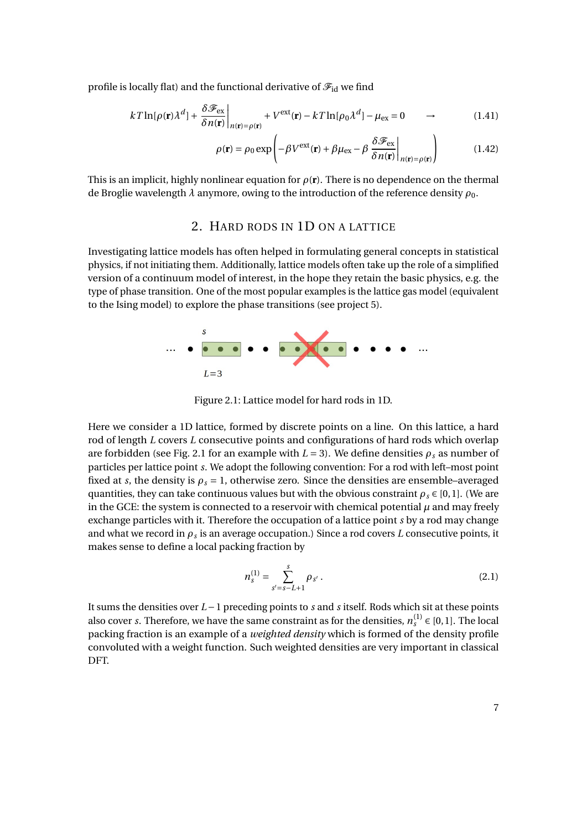profile is locally flat) and the functional derivative of  $\mathscr{F}_{\text{id}}$  we find

$$
kT\ln[\rho(\mathbf{r})\lambda^{d}] + \frac{\delta\mathcal{F}_{\text{ex}}}{\delta n(\mathbf{r})}\bigg|_{n(\mathbf{r})=\rho(\mathbf{r})} + V^{\text{ext}}(\mathbf{r}) - kT\ln[\rho_0\lambda^{d}] - \mu_{\text{ex}} = 0 \qquad \rightarrow \tag{1.41}
$$

$$
\rho(\mathbf{r}) = \rho_0 \exp\left(-\beta V^{\text{ext}}(\mathbf{r}) + \beta \mu_{\text{ex}} - \beta \frac{\delta \mathcal{F}_{\text{ex}}}{\delta n(\mathbf{r})}\bigg|_{n(\mathbf{r}) = \rho(\mathbf{r})}\right) \tag{1.42}
$$

This is an implicit, highly nonlinear equation for  $\rho(\mathbf{r})$ . There is no dependence on the thermal de Broglie wavelength  $\lambda$  anymore, owing to the introduction of the reference density  $\rho_0$ .

## 2. HARD RODS IN 1D ON A LATTICE

Investigating lattice models has often helped in formulating general concepts in statistical physics, if not initiating them. Additionally, lattice models often take up the role of a simplified version of a continuum model of interest, in the hope they retain the basic physics, e.g. the type of phase transition. One of the most popular examples is the lattice gas model (equivalent to the Ising model) to explore the phase transitions (see project 5).



Figure 2.1: Lattice model for hard rods in 1D.

Here we consider a 1D lattice, formed by discrete points on a line. On this lattice, a hard rod of length *L* covers *L* consecutive points and configurations of hard rods which overlap are forbidden (see Fig. 2.1 for an example with  $L = 3$ ). We define densities  $\rho_s$  as number of particles per lattice point *s*. We adopt the following convention: For a rod with left–most point fixed at *s*, the density is  $\rho_s = 1$ , otherwise zero. Since the densities are ensemble–averaged quantities, they can take continuous values but with the obvious constraint  $\rho_s \in [0,1]$ . (We are in the GCE: the system is connected to a reservoir with chemical potential  $\mu$  and may freely exchange particles with it. Therefore the occupation of a lattice point *s* by a rod may change and what we record in *ρ<sup>s</sup>* is an average occupation.) Since a rod covers *L* consecutive points, it makes sense to define a local packing fraction by

$$
n_s^{(1)} = \sum_{s'=s-L+1}^{s} \rho_{s'}.
$$
\n(2.1)

It sums the densities over *L* −1 preceding points to *s* and *s* itself. Rods which sit at these points also cover *s*. Therefore, we have the same constraint as for the densities,  $n_s^{(1)} \in [0,1]$ . The local packing fraction is an example of a *weighted density* which is formed of the density profile convoluted with a weight function. Such weighted densities are very important in classical DFT.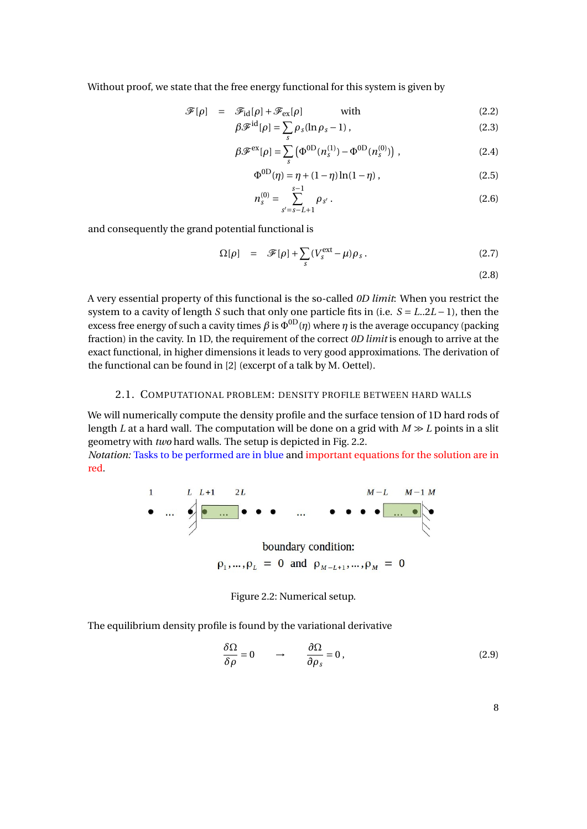Without proof, we state that the free energy functional for this system is given by

$$
\mathcal{F}[\rho] = \mathcal{F}_{\text{id}}[\rho] + \mathcal{F}_{\text{ex}}[\rho] \quad \text{with} \tag{2.2}
$$

$$
\beta \mathscr{F}^{\mathrm{id}}[\rho] = \sum_{s} \rho_s (\ln \rho_s - 1) , \qquad (2.3)
$$

$$
\beta \mathcal{F}^{\text{ex}}[\rho] = \sum_{s} \left( \Phi^{\text{OD}}(n_s^{(1)}) - \Phi^{\text{OD}}(n_s^{(0)}) \right), \qquad (2.4)
$$

$$
\Phi^{0D}(\eta) = \eta + (1 - \eta) \ln(1 - \eta) , \qquad (2.5)
$$

$$
n_s^{(0)} = \sum_{s'=s-L+1}^{s-1} \rho_{s'}.
$$
 (2.6)

and consequently the grand potential functional is

$$
\Omega[\rho] = \mathcal{F}[\rho] + \sum_{s} (V_s^{\text{ext}} - \mu) \rho_s. \tag{2.7}
$$

(2.8)

A very essential property of this functional is the so-called *0D limit*: When you restrict the system to a cavity of length *S* such that only one particle fits in (i.e. *S* = *L*..2*L* − 1), then the excess free energy of such a cavity times  $\beta$  is  $\Phi^{0D}(\eta)$  where  $\eta$  is the average occupancy (packing fraction) in the cavity. In 1D, the requirement of the correct *0D limit* is enough to arrive at the exact functional, in higher dimensions it leads to very good approximations. The derivation of the functional can be found in [2] (excerpt of a talk by M. Oettel).

## 2.1. COMPUTATIONAL PROBLEM: DENSITY PROFILE BETWEEN HARD WALLS

We will numerically compute the density profile and the surface tension of 1D hard rods of length *L* at a hard wall. The computation will be done on a grid with  $M \gg L$  points in a slit geometry with *two* hard walls. The setup is depicted in Fig. 2.2.

*Notation:* Tasks to be performed are in blue and important equations for the solution are in red.



 $\rho_1, ..., \rho_L = 0$  and  $\rho_{M-L+1}, ..., \rho_M = 0$ 

#### Figure 2.2: Numerical setup.

The equilibrium density profile is found by the variational derivative

$$
\frac{\delta\Omega}{\delta\rho} = 0 \qquad \rightarrow \qquad \frac{\partial\Omega}{\partial\rho_s} = 0 \,, \tag{2.9}
$$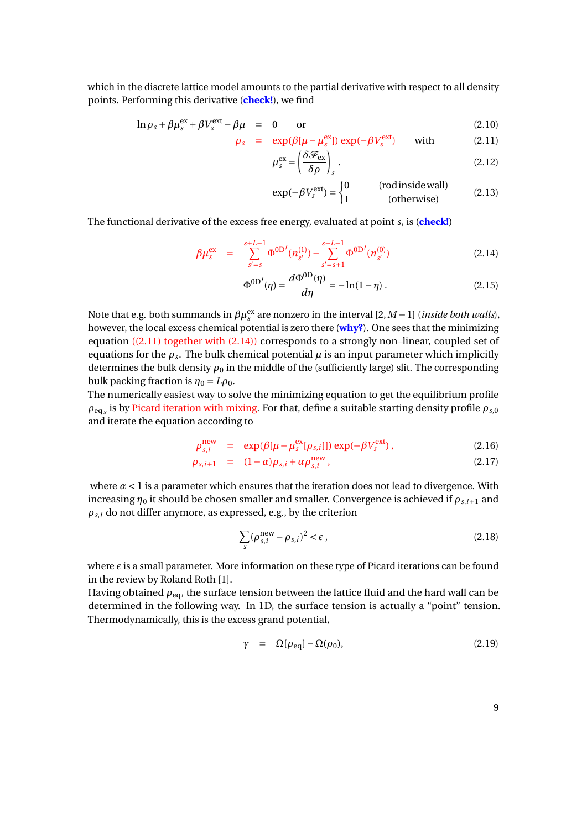which in the discrete lattice model amounts to the partial derivative with respect to all density points. Performing this derivative (**check!**), we find

$$
\ln \rho_s + \beta \mu_s^{\text{ex}} + \beta V_s^{\text{ext}} - \beta \mu = 0 \quad \text{or} \quad (2.10)
$$

$$
\rho_s = \exp(\beta[\mu - \mu_s^{\text{ex}}]) \exp(-\beta V_s^{\text{ext}}) \quad \text{with} \quad (2.11)
$$

$$
\mu_s^{\text{ex}} = \left(\frac{\delta \mathcal{F}_{\text{ex}}}{\delta \rho}\right)_s \,. \tag{2.12}
$$

$$
\exp(-\beta V_s^{\text{ext}}) = \begin{cases} 0 & \text{(rod inside wall)}\\ 1 & \text{(otherwise)} \end{cases}
$$
 (2.13)

The functional derivative of the excess free energy, evaluated at point *s*, is (**check!**)

$$
\beta \mu_s^{\text{ex}} = \sum_{s'=s}^{s+L-1} \Phi^{0\text{D}'}(n_{s'}^{(1)}) - \sum_{s'=s+1}^{s+L-1} \Phi^{0\text{D}'}(n_{s'}^{(0)}) \tag{2.14}
$$

$$
\Phi^{\rm 0D'}(\eta) = \frac{d\Phi^{\rm 0D}(\eta)}{d\eta} = -\ln(1-\eta) \,. \tag{2.15}
$$

Note that e.g. both summands in *βµ*ex *s* are nonzero in the interval [2,*M* −1] (*inside both walls*), however, the local excess chemical potential is zero there (**why?**). One sees that the minimizing equation ((2.11) together with (2.14)) corresponds to a strongly non–linear, coupled set of equations for the  $\rho_s$ . The bulk chemical potential  $\mu$  is an input parameter which implicitly determines the bulk density  $\rho_0$  in the middle of the (sufficiently large) slit. The corresponding bulk packing fraction is  $\eta_0 = L \rho_0$ .

The numerically easiest way to solve the minimizing equation to get the equilibrium profile  $\rho_{\text{eq}_S}$  is by Picard iteration with mixing. For that, define a suitable starting density profile  $\rho_{s,0}$ and iterate the equation according to

$$
\rho_{s,i}^{\text{new}} = \exp(\beta[\mu - \mu_s^{\text{ex}}[\rho_{s,i}]]) \exp(-\beta V_s^{\text{ext}}), \qquad (2.16)
$$

$$
\rho_{s,i+1} = (1-\alpha)\rho_{s,i} + \alpha \rho_{s,i}^{\text{new}}, \qquad (2.17)
$$

where  $\alpha$  < 1 is a parameter which ensures that the iteration does not lead to divergence. With increasing  $\eta_0$  it should be chosen smaller and smaller. Convergence is achieved if  $\rho_{s,i+1}$  and  $\rho_{s,i}$  do not differ anymore, as expressed, e.g., by the criterion

$$
\sum_{s} (\rho_{s,i}^{\text{new}} - \rho_{s,i})^2 < \epsilon \,, \tag{2.18}
$$

where  $\epsilon$  is a small parameter. More information on these type of Picard iterations can be found in the review by Roland Roth [1].

Having obtained *ρ*eq, the surface tension between the lattice fluid and the hard wall can be determined in the following way. In 1D, the surface tension is actually a "point" tension. Thermodynamically, this is the excess grand potential,

$$
\gamma = \Omega[\rho_{\text{eq}}] - \Omega(\rho_0), \tag{2.19}
$$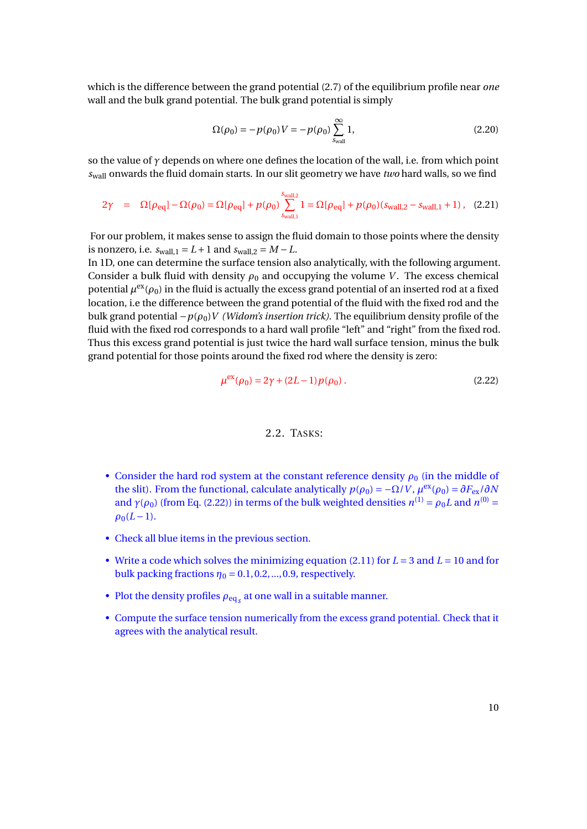which is the difference between the grand potential (2.7) of the equilibrium profile near *one* wall and the bulk grand potential. The bulk grand potential is simply

$$
\Omega(\rho_0) = -p(\rho_0)V = -p(\rho_0) \sum_{\text{Swall}}^{\infty} 1,\tag{2.20}
$$

so the value of *γ* depends on where one defines the location of the wall, i.e. from which point *s*wall onwards the fluid domain starts. In our slit geometry we have *two* hard walls, so we find

$$
2\gamma = \Omega[\rho_{\text{eq}}] - \Omega(\rho_0) = \Omega[\rho_{\text{eq}}] + p(\rho_0) \sum_{\text{Swall, 1}}^{\text{Swall, 2}} 1 = \Omega[\rho_{\text{eq}}] + p(\rho_0)(s_{\text{wall, 2}} - s_{\text{wall, 1}} + 1), \quad (2.21)
$$

For our problem, it makes sense to assign the fluid domain to those points where the density is nonzero, i.e.  $s_{wall,1} = L + 1$  and  $s_{wall,2} = M - L$ .

In 1D, one can determine the surface tension also analytically, with the following argument. Consider a bulk fluid with density  $\rho_0$  and occupying the volume *V*. The excess chemical potential  $\mu^{\rm ex}(\rho_0)$  in the fluid is actually the excess grand potential of an inserted rod at a fixed location, i.e the difference between the grand potential of the fluid with the fixed rod and the bulk grand potential  $-p(\rho_0)V$  *(Widom's insertion trick)*. The equilibrium density profile of the fluid with the fixed rod corresponds to a hard wall profile "left" and "right" from the fixed rod. Thus this excess grand potential is just twice the hard wall surface tension, minus the bulk grand potential for those points around the fixed rod where the density is zero:

$$
\mu^{\text{ex}}(\rho_0) = 2\gamma + (2L - 1)p(\rho_0). \tag{2.22}
$$

#### 2.2. TASKS:

- Consider the hard rod system at the constant reference density  $\rho_0$  (in the middle of the slit). From the functional, calculate analytically  $p(\rho_0) = -\Omega/V$ ,  $\mu^{ex}(\rho_0) = \partial F_{ex}/\partial N$ and  $\gamma(\rho_0)$  (from Eq. (2.22)) in terms of the bulk weighted densities  $n^{(1)} = \rho_0 L$  and  $n^{(0)} =$  $\rho_0(L-1)$ .
- Check all blue items in the previous section.
- Write a code which solves the minimizing equation (2.11) for *L* = 3 and *L* = 10 and for bulk packing fractions  $\eta_0 = 0.1, 0.2, ..., 0.9$ , respectively.
- Plot the density profiles  $\rho_{\text{eq}_{\textit{S}}}$  at one wall in a suitable manner.
- Compute the surface tension numerically from the excess grand potential. Check that it agrees with the analytical result.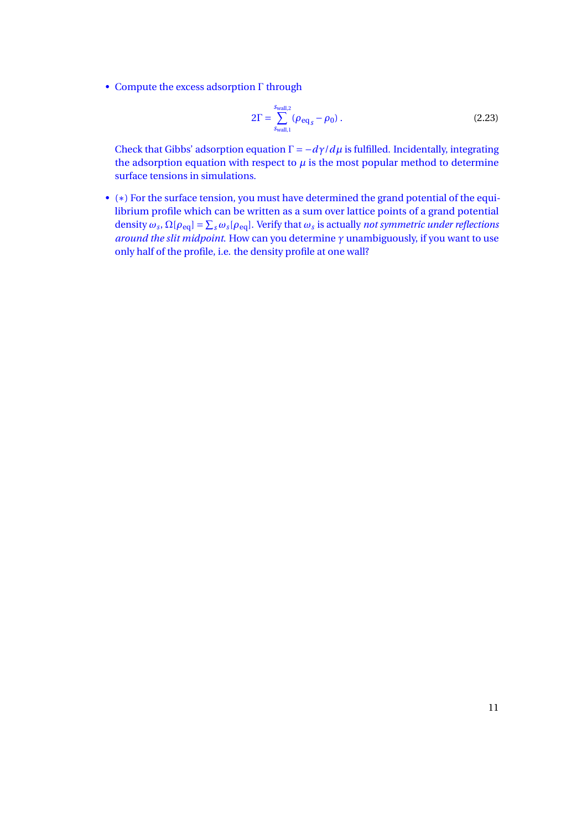• Compute the excess adsorption Γ through

$$
2\Gamma = \sum_{s_{\text{wall},1}}^{s_{\text{wall},2}} (\rho_{\text{eq}_s} - \rho_0) \,. \tag{2.23}
$$

Check that Gibbs' adsorption equation  $\Gamma = -d\gamma/d\mu$  is fulfilled. Incidentally, integrating the adsorption equation with respect to  $\mu$  is the most popular method to determine surface tensions in simulations.

• (∗) For the surface tension, you must have determined the grand potential of the equilibrium profile which can be written as a sum over lattice points of a grand potential density  $\omega_s$ ,  $\Omega[\rho_{eq}] = \sum_s \omega_s[\rho_{eq}]$ . Verify that  $\omega_s$  is actually *not symmetric under reflections around the slit midpoint*. How can you determine *γ* unambiguously, if you want to use only half of the profile, i.e. the density profile at one wall?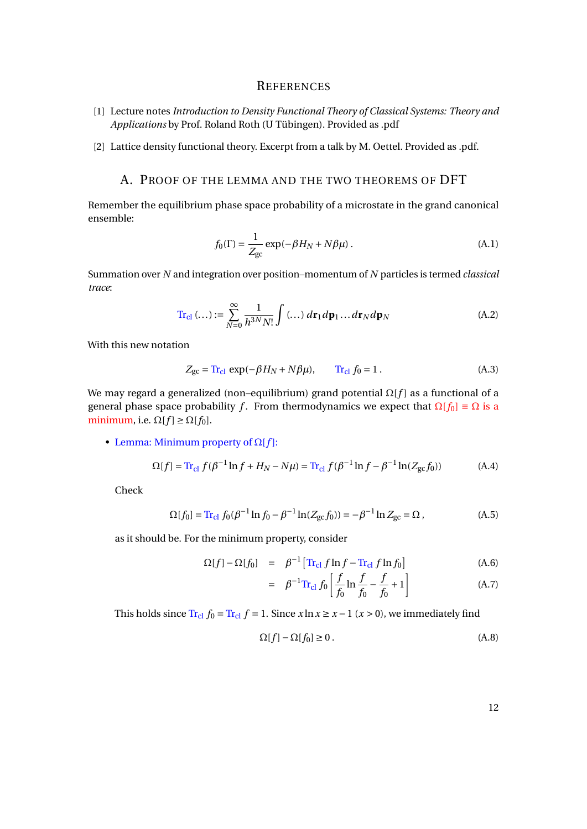### **REFERENCES**

- [1] Lecture notes *Introduction to Density Functional Theory of Classical Systems: Theory and Applications* by Prof. Roland Roth (U Tübingen). Provided as .pdf
- [2] Lattice density functional theory. Excerpt from a talk by M. Oettel. Provided as .pdf.

## A. PROOF OF THE LEMMA AND THE TWO THEOREMS OF DFT

Remember the equilibrium phase space probability of a microstate in the grand canonical ensemble:

$$
f_0(\Gamma) = \frac{1}{Z_{\text{gc}}} \exp(-\beta H_N + N\beta \mu) \,. \tag{A.1}
$$

Summation over *N* and integration over position–momentum of *N* particles is termed *classical trace*:

$$
\operatorname{Tr}_{\text{cl}}\left(\dots\right) := \sum_{N=0}^{\infty} \frac{1}{h^{3N} N!} \int \left(\dots\right) d\mathbf{r}_1 d\mathbf{p}_1 \dots d\mathbf{r}_N d\mathbf{p}_N \tag{A.2}
$$

With this new notation

$$
Z_{\rm gc} = \text{Tr}_{\rm cl} \exp(-\beta H_N + N\beta \mu), \qquad \text{Tr}_{\rm cl} f_0 = 1. \tag{A.3}
$$

We may regard a generalized (non–equilibrium) grand potential  $\Omega[f]$  as a functional of a general phase space probability *f*. From thermodynamics we expect that  $\Omega[f_0] = \Omega$  is a minimum, i.e.  $\Omega[f] \geq \Omega[f_0]$ .

• Lemma: Minimum property of  $\Omega[f]$ :

$$
\Omega[f] = \text{Tr}_{\text{cl}} f(\beta^{-1} \ln f + H_N - N\mu) = \text{Tr}_{\text{cl}} f(\beta^{-1} \ln f - \beta^{-1} \ln(Z_{\text{gc}} f_0))
$$
(A.4)

Check

$$
\Omega[f_0] = \text{Tr}_{\text{cl}} f_0 (\beta^{-1} \ln f_0 - \beta^{-1} \ln(Z_{\text{gc}} f_0)) = -\beta^{-1} \ln Z_{\text{gc}} = \Omega , \tag{A.5}
$$

as it should be. For the minimum property, consider

$$
\Omega[f] - \Omega[f_0] = \beta^{-1} \left[ \text{Tr}_{\text{cl}} f \ln f - \text{Tr}_{\text{cl}} f \ln f_0 \right]
$$
 (A.6)

$$
= \beta^{-1} \text{Tr}_{\text{cl}} f_0 \left[ \frac{f}{f_0} \ln \frac{f}{f_0} - \frac{f}{f_0} + 1 \right]
$$
 (A.7)

This holds since  $Tr_{cl} f_0 = Tr_{cl} f = 1$ . Since  $x \ln x \ge x - 1$  ( $x > 0$ ), we immediately find

$$
\Omega[f] - \Omega[f_0] \ge 0. \tag{A.8}
$$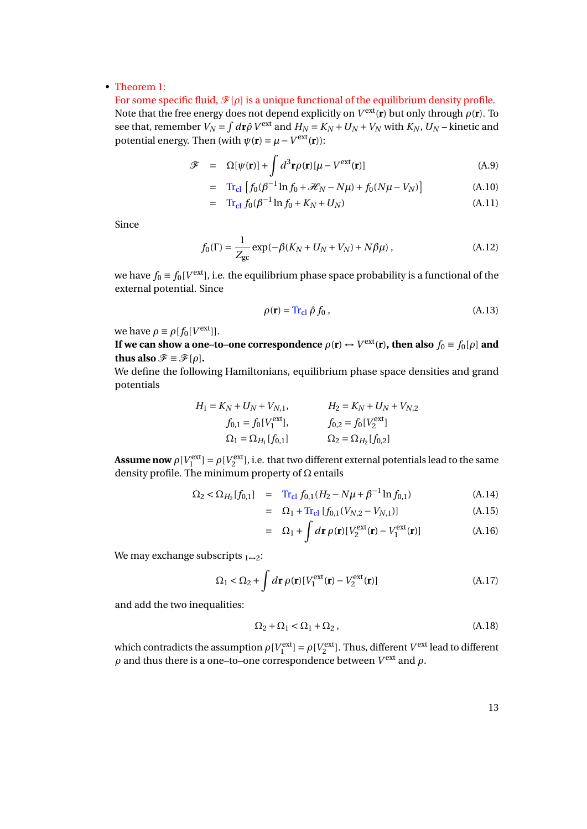#### • Theorem 1:

For some specific fluid,  $\mathcal{F}[\rho]$  is a unique functional of the equilibrium density profile. Note that the free energy does not depend explicitly on  $V^{\text{ext}}(\mathbf{r})$  but only through  $\rho(\mathbf{r})$ . To see that, remember  $V_N = \int d\mathbf{r} \hat{\rho} V^{\text{ext}}$  and  $H_N = K_N + U_N + V_N$  with  $K_N$ ,  $U_N$  – kinetic and potential energy. Then (with  $\psi(\mathbf{r}) = \mu - V^{\text{ext}}(\mathbf{r})$ ):

$$
\mathcal{F} = \Omega[\psi(\mathbf{r})] + \int d^3 \mathbf{r} \rho(\mathbf{r}) [\mu - V^{\text{ext}}(\mathbf{r})]
$$
(A.9)

$$
= \text{Tr}_{\text{cl}} \left[ f_0(\beta^{-1} \ln f_0 + \mathcal{H}_N - N\mu) + f_0(N\mu - V_N) \right] \tag{A.10}
$$

$$
= \operatorname{Tr}_{\text{cl}} f_0(\beta^{-1} \ln f_0 + K_N + U_N) \tag{A.11}
$$

Since

$$
f_0(\Gamma) = \frac{1}{Z_{\text{gc}}} \exp(-\beta (K_N + U_N + V_N) + N\beta \mu) , \qquad (A.12)
$$

we have  $f_0 \equiv f_0[V^{\rm ext}]$ , i.e. the equilibrium phase space probability is a functional of the external potential. Since

$$
\rho(\mathbf{r}) = \text{Tr}_{\text{cl}} \hat{\rho} f_0 , \qquad (A.13)
$$

we have  $\rho \equiv \rho[f_0[V^{\text{ext}}]]$ .

**If we can show a one–to–one correspondence**  $\rho(\mathbf{r}) \leftrightarrow V^{\text{ext}}(\mathbf{r})$ **, then also**  $f_0 \equiv f_0[\rho]$  **and thus also**  $\mathcal{F} \equiv \mathcal{F}[\rho]$ **.** 

We define the following Hamiltonians, equilibrium phase space densities and grand potentials

$$
H_1 = K_N + U_N + V_{N,1},
$$
  
\n
$$
f_{0,1} = f_0[V_1^{\text{ext}}],
$$
  
\n
$$
\Omega_1 = \Omega_{H_1}[f_{0,1}]
$$
  
\n
$$
H_2 = K_N + U_N + V_{N,2}
$$
  
\n
$$
f_{0,2} = f_0[V_2^{\text{ext}}]
$$
  
\n
$$
\Omega_2 = \Omega_{H_2}[f_{0,2}]
$$

**Assume now**  $\rho[V_1^{\text{ext}}] = \rho[V_2^{\text{ext}}]$ , i.e. that two different external potentials lead to the same density profile. The minimum property of  $\Omega$  entails

$$
\Omega_2 < \Omega_{H_2}[f_{0,1}] = \text{Tr}_{\text{cl}} f_{0,1}(H_2 - N\mu + \beta^{-1} \ln f_{0,1}) \tag{A.14}
$$

$$
= \Omega_1 + \text{Tr}_{\text{cl}} \left[ f_{0,1} (V_{N,2} - V_{N,1}) \right] \tag{A.15}
$$

$$
= \Omega_1 + \int d\mathbf{r} \,\rho(\mathbf{r}) [V_2^{\text{ext}}(\mathbf{r}) - V_1^{\text{ext}}(\mathbf{r})] \tag{A.16}
$$

We may exchange subscripts  $1 \rightarrow 2$ :

$$
\Omega_1 < \Omega_2 + \int d\mathbf{r} \, \rho(\mathbf{r}) \left[ V_1^{\text{ext}}(\mathbf{r}) - V_2^{\text{ext}}(\mathbf{r}) \right] \tag{A.17}
$$

and add the two inequalities:

$$
\Omega_2 + \Omega_1 < \Omega_1 + \Omega_2 \,,\tag{A.18}
$$

which contradicts the assumption  $\rho[V_1^{\text{ext}}] = \rho[V_2^{\text{ext}}]$ . Thus, different  $V^{\text{ext}}$  lead to different  $ρ$  and thus there is a one–to–one correspondence between  $V<sup>ext</sup>$  and  $ρ$ .